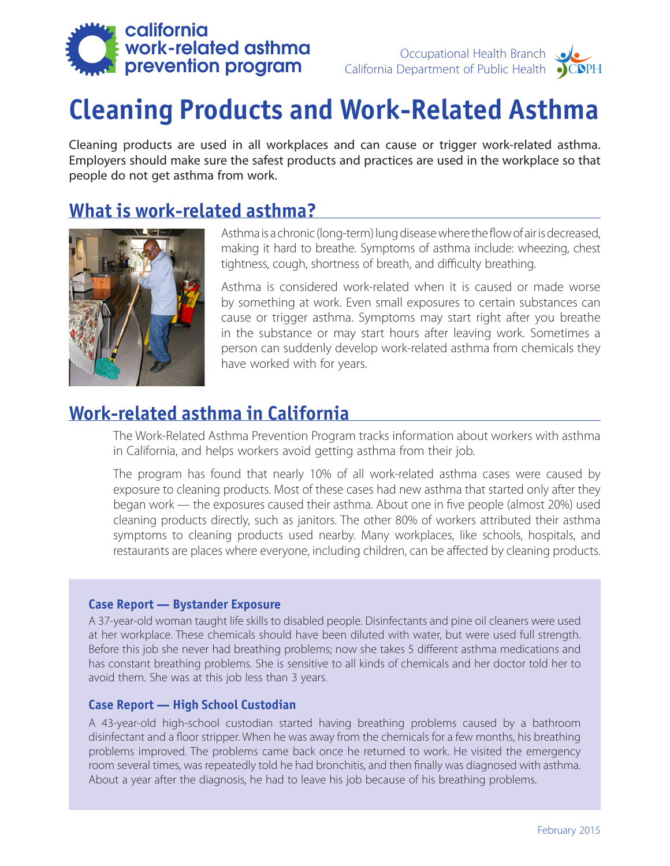

# **Cleaning Products and Work-Related Asthma**

Cleaning products are used in all workplaces and can cause or trigger work-related asthma. Employers should make sure the safest products and practices are used in the workplace so that people do not get asthma from work.

### **What is work-related asthma?**



Asthma is a chronic (long-term) lung disease where the flow of air is decreased, making it hard to breathe. Symptoms of asthma include: wheezing, chest tightness, cough, shortness of breath, and difficulty breathing.

Asthma is considered work-related when it is caused or made worse by something at work. Even small exposures to certain substances can cause or trigger asthma. Symptoms may start right after you breathe in the substance or may start hours after leaving work. Sometimes a person can suddenly develop work-related asthma from chemicals they have worked with for years.

### **Work-related asthma in California**

The Work-Related Asthma Prevention Program tracks information about workers with asthma in California, and helps workers avoid getting asthma from their job.

The program has found that nearly 10% of all work-related asthma cases were caused by exposure to cleaning products. Most of these cases had new asthma that started only after they began work — the exposures caused their asthma. About one in five people (almost 20%) used cleaning products directly, such as janitors. The other 80% of workers attributed their asthma symptoms to cleaning products used nearby. Many workplaces, like schools, hospitals, and restaurants are places where everyone, including children, can be affected by cleaning products.

#### **Case Report — Bystander Exposure**

A 37-year-old woman taught life skills to disabled people. Disinfectants and pine oil cleaners were used at her workplace. These chemicals should have been diluted with water, but were used full strength. Before this job she never had breathing problems; now she takes 5 different asthma medications and has constant breathing problems. She is sensitive to all kinds of chemicals and her doctor told her to avoid them. She was at this job less than 3 years.

#### **Case Report — High School Custodian**

A 43-year-old high-school custodian started having breathing problems caused by a bathroom disinfectant and a floor stripper. When he was away from the chemicals for a few months, his breathing problems improved. The problems came back once he returned to work. He visited the emergency room several times, was repeatedly told he had bronchitis, and then finally was diagnosed with asthma. About a year after the diagnosis, he had to leave his job because of his breathing problems.